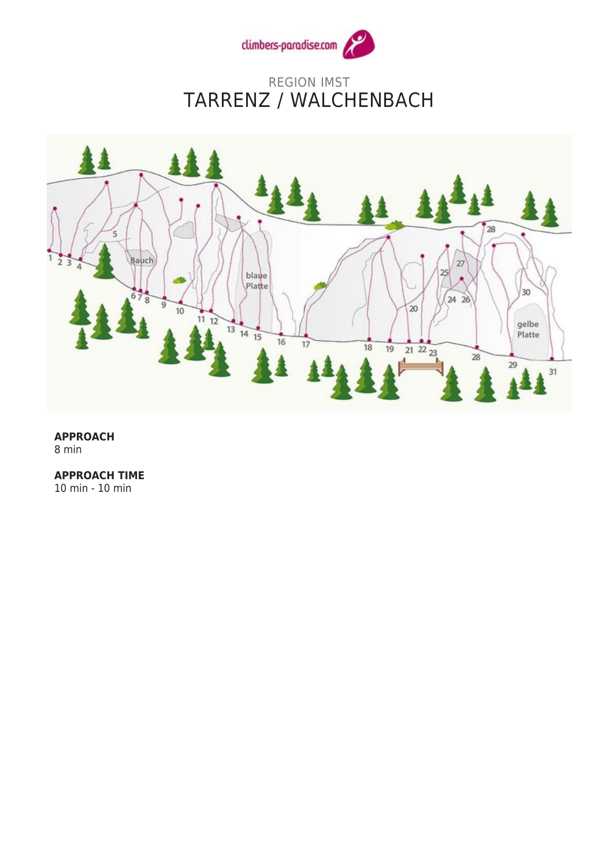

## REGION IMST TARRENZ / WALCHENBACH



## **APPROACH** 8 min

**APPROACH TIME**

10 min - 10 min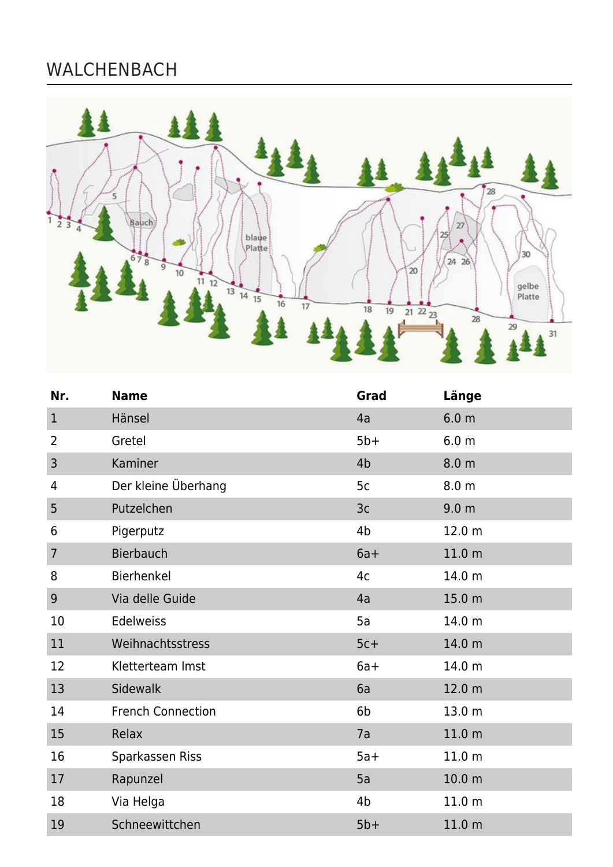## WALCHENBACH



| Nr.            | <b>Name</b>              | Grad           | Länge             |
|----------------|--------------------------|----------------|-------------------|
| $\mathbf{1}$   | Hänsel                   | 4a             | 6.0 <sub>m</sub>  |
| 2              | Gretel                   | $5b+$          | 6.0 <sub>m</sub>  |
| 3              | Kaminer                  | 4 <sub>b</sub> | 8.0 <sub>m</sub>  |
| 4              | Der kleine Überhang      | 5c             | 8.0 <sub>m</sub>  |
| 5              | Putzelchen               | 3c             | 9.0 <sub>m</sub>  |
| 6              | Pigerputz                | 4 <sub>b</sub> | 12.0 m            |
| $\overline{7}$ | <b>Bierbauch</b>         | $6a+$          | 11.0 <sub>m</sub> |
| 8              | Bierhenkel               | 4c             | 14.0 m            |
| 9              | Via delle Guide          | 4a             | 15.0 m            |
| 10             | Edelweiss                | 5a             | 14.0 m            |
| 11             | Weihnachtsstress         | $5c+$          | 14.0 m            |
| 12             | Kletterteam Imst         | $6a+$          | 14.0 m            |
| 13             | <b>Sidewalk</b>          | 6a             | 12.0 m            |
| 14             | <b>French Connection</b> | 6b             | 13.0 m            |
| 15             | Relax                    | 7a             | 11.0 <sub>m</sub> |
| 16             | Sparkassen Riss          | $5a+$          | 11.0 m            |
| 17             | Rapunzel                 | 5a             | 10.0 <sub>m</sub> |
| 18             | Via Helga                | 4 <sub>b</sub> | 11.0 <sub>m</sub> |
| 19             | Schneewittchen           | $5b+$          | 11.0 m            |